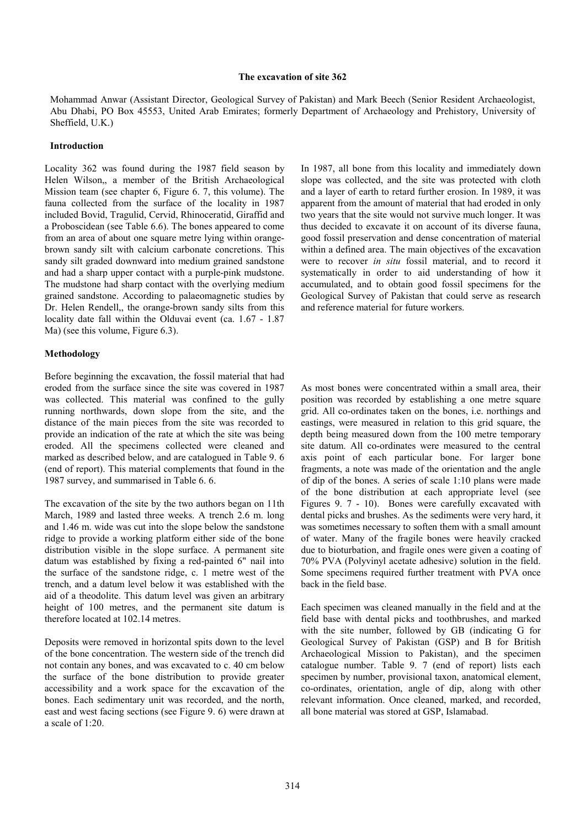#### **The excavation of site 362**

Mohammad Anwar (Assistant Director, Geological Survey of Pakistan) and Mark Beech (Senior Resident Archaeologist, Abu Dhabi, PO Box 45553, United Arab Emirates; formerly Department of Archaeology and Prehistory, University of Sheffield, U.K.)

#### **Introduction**

Locality 362 was found during the 1987 field season by Helen Wilson,, a member of the British Archaeological Mission team (see chapter 6, Figure 6. 7, this volume). The fauna collected from the surface of the locality in 1987 included Bovid, Tragulid, Cervid, Rhinoceratid, Giraffid and a Proboscidean (see Table 6.6). The bones appeared to come from an area of about one square metre lying within orangebrown sandy silt with calcium carbonate concretions. This sandy silt graded downward into medium grained sandstone and had a sharp upper contact with a purple-pink mudstone. The mudstone had sharp contact with the overlying medium grained sandstone. According to palaeomagnetic studies by Dr. Helen Rendell,, the orange-brown sandy silts from this locality date fall within the Olduvai event (ca. 1.67 - 1.87 Ma) (see this volume, Figure 6.3).

#### **Methodology**

Before beginning the excavation, the fossil material that had eroded from the surface since the site was covered in 1987 was collected. This material was confined to the gully running northwards, down slope from the site, and the distance of the main pieces from the site was recorded to provide an indication of the rate at which the site was being eroded. All the specimens collected were cleaned and marked as described below, and are catalogued in Table 9. 6 (end of report). This material complements that found in the 1987 survey, and summarised in Table 6. 6.

The excavation of the site by the two authors began on 11th March, 1989 and lasted three weeks. A trench 2.6 m. long and 1.46 m. wide was cut into the slope below the sandstone ridge to provide a working platform either side of the bone distribution visible in the slope surface. A permanent site datum was established by fixing a red-painted 6" nail into the surface of the sandstone ridge, c. 1 metre west of the trench, and a datum level below it was established with the aid of a theodolite. This datum level was given an arbitrary height of 100 metres, and the permanent site datum is therefore located at 102.14 metres.

Deposits were removed in horizontal spits down to the level of the bone concentration. The western side of the trench did not contain any bones, and was excavated to c. 40 cm below the surface of the bone distribution to provide greater accessibility and a work space for the excavation of the bones. Each sedimentary unit was recorded, and the north, east and west facing sections (see Figure 9. 6) were drawn at a scale of 1:20.

In 1987, all bone from this locality and immediately down slope was collected, and the site was protected with cloth and a layer of earth to retard further erosion. In 1989, it was apparent from the amount of material that had eroded in only two years that the site would not survive much longer. It was thus decided to excavate it on account of its diverse fauna, good fossil preservation and dense concentration of material within a defined area. The main objectives of the excavation were to recover *in situ* fossil material, and to record it systematically in order to aid understanding of how it accumulated, and to obtain good fossil specimens for the Geological Survey of Pakistan that could serve as research and reference material for future workers.

As most bones were concentrated within a small area, their position was recorded by establishing a one metre square grid. All co-ordinates taken on the bones, i.e. northings and eastings, were measured in relation to this grid square, the depth being measured down from the 100 metre temporary site datum. All co-ordinates were measured to the central axis point of each particular bone. For larger bone fragments, a note was made of the orientation and the angle of dip of the bones. A series of scale 1:10 plans were made of the bone distribution at each appropriate level (see Figures 9. 7 - 10). Bones were carefully excavated with dental picks and brushes. As the sediments were very hard, it was sometimes necessary to soften them with a small amount of water. Many of the fragile bones were heavily cracked due to bioturbation, and fragile ones were given a coating of 70% PVA (Polyvinyl acetate adhesive) solution in the field. Some specimens required further treatment with PVA once back in the field base.

Each specimen was cleaned manually in the field and at the field base with dental picks and toothbrushes, and marked with the site number, followed by GB (indicating G for Geological Survey of Pakistan (GSP) and B for British Archaeological Mission to Pakistan), and the specimen catalogue number. Table 9. 7 (end of report) lists each specimen by number, provisional taxon, anatomical element, co-ordinates, orientation, angle of dip, along with other relevant information. Once cleaned, marked, and recorded, all bone material was stored at GSP, Islamabad.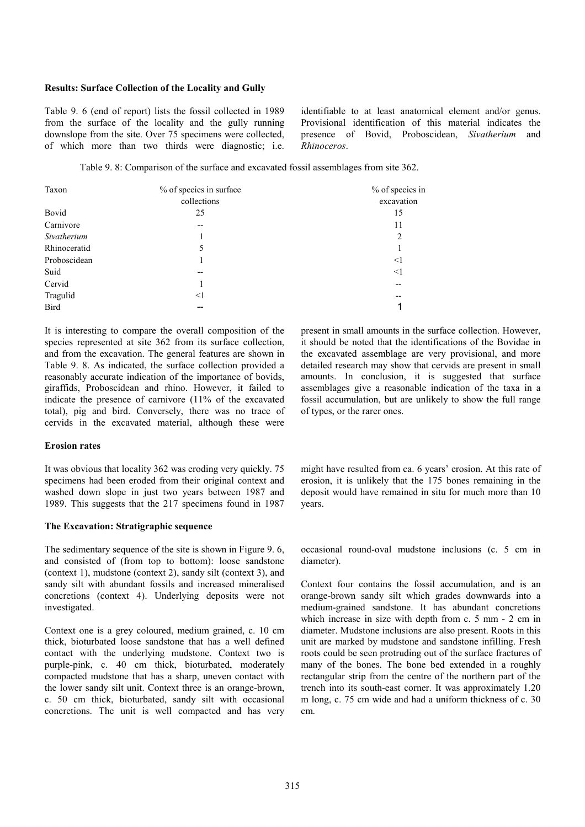## **Results: Surface Collection of the Locality and Gully**

Table 9. 6 (end of report) lists the fossil collected in 1989 from the surface of the locality and the gully running downslope from the site. Over 75 specimens were collected, of which more than two thirds were diagnostic; i.e. identifiable to at least anatomical element and/or genus. Provisional identification of this material indicates the presence of Bovid, Proboscidean, *Sivatherium* and *Rhinoceros*.

Table 9. 8: Comparison of the surface and excavated fossil assemblages from site 362.

| Taxon        | % of species in surface<br>collections | % of species in<br>excavation |
|--------------|----------------------------------------|-------------------------------|
| Bovid        | 25                                     | 15                            |
| Carnivore    | $-$                                    | 11                            |
| Sivatherium  |                                        | $\overline{c}$                |
| Rhinoceratid | 5                                      |                               |
| Proboscidean |                                        | $<$ 1                         |
| Suid         | --                                     | $<$ 1                         |
| Cervid       |                                        | --                            |
| Tragulid     | $<$ 1                                  | --                            |
| <b>Bird</b>  |                                        |                               |

It is interesting to compare the overall composition of the species represented at site 362 from its surface collection. and from the excavation. The general features are shown in Table 9. 8. As indicated, the surface collection provided a reasonably accurate indication of the importance of bovids, giraffids, Proboscidean and rhino. However, it failed to indicate the presence of carnivore (11% of the excavated total), pig and bird. Conversely, there was no trace of cervids in the excavated material, although these were

#### **Erosion rates**

It was obvious that locality 362 was eroding very quickly. 75 specimens had been eroded from their original context and washed down slope in just two years between 1987 and 1989. This suggests that the 217 specimens found in 1987

## **The Excavation: Stratigraphic sequence**

The sedimentary sequence of the site is shown in Figure 9. 6, and consisted of (from top to bottom): loose sandstone (context 1), mudstone (context 2), sandy silt (context 3), and sandy silt with abundant fossils and increased mineralised concretions (context 4). Underlying deposits were not investigated.

Context one is a grey coloured, medium grained, c. 10 cm thick, bioturbated loose sandstone that has a well defined contact with the underlying mudstone. Context two is purple-pink, c. 40 cm thick, bioturbated, moderately compacted mudstone that has a sharp, uneven contact with the lower sandy silt unit. Context three is an orange-brown, c. 50 cm thick, bioturbated, sandy silt with occasional concretions. The unit is well compacted and has very present in small amounts in the surface collection. However, it should be noted that the identifications of the Bovidae in the excavated assemblage are very provisional, and more detailed research may show that cervids are present in small amounts. In conclusion, it is suggested that surface assemblages give a reasonable indication of the taxa in a fossil accumulation, but are unlikely to show the full range of types, or the rarer ones.

might have resulted from ca. 6 years' erosion. At this rate of erosion, it is unlikely that the 175 bones remaining in the deposit would have remained in situ for much more than 10 years.

occasional round-oval mudstone inclusions (c. 5 cm in diameter).

Context four contains the fossil accumulation, and is an orange-brown sandy silt which grades downwards into a medium-grained sandstone. It has abundant concretions which increase in size with depth from c. 5 mm - 2 cm in diameter. Mudstone inclusions are also present. Roots in this unit are marked by mudstone and sandstone infilling. Fresh roots could be seen protruding out of the surface fractures of many of the bones. The bone bed extended in a roughly rectangular strip from the centre of the northern part of the trench into its south-east corner. It was approximately 1.20 m long, c. 75 cm wide and had a uniform thickness of c. 30 cm.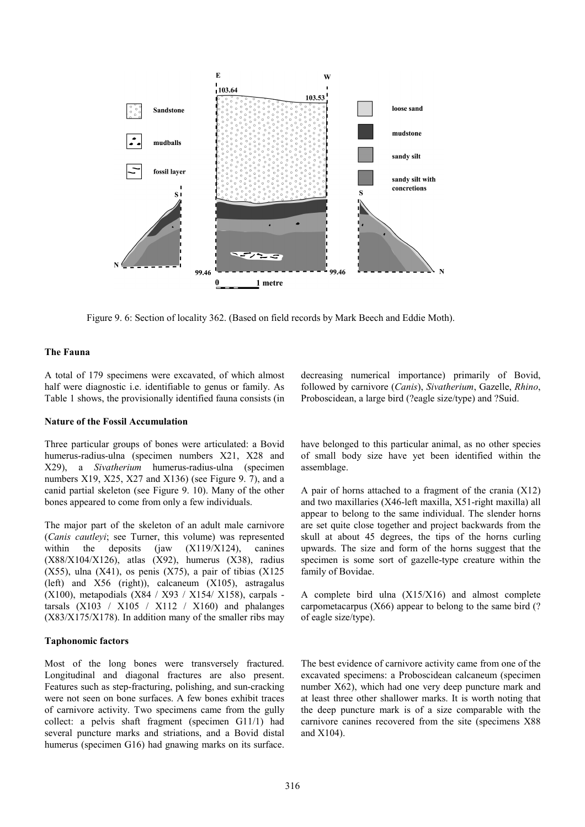

Figure 9. 6: Section of locality 362. (Based on field records by Mark Beech and Eddie Moth).

## **The Fauna**

A total of 179 specimens were excavated, of which almost half were diagnostic i.e. identifiable to genus or family. As Table 1 shows, the provisionally identified fauna consists (in

## **Nature of the Fossil Accumulation**

Three particular groups of bones were articulated: a Bovid humerus-radius-ulna (specimen numbers X21, X28 and X29), a *Sivatherium* humerus-radius-ulna (specimen numbers X19, X25, X27 and X136) (see Figure 9. 7), and a canid partial skeleton (see Figure 9. 10). Many of the other bones appeared to come from only a few individuals.

The major part of the skeleton of an adult male carnivore (*Canis cautleyi*; see Turner, this volume) was represented within the deposits (jaw  $(X119/X124)$ , canines (X88/X104/X126), atlas (X92), humerus (X38), radius (X55), ulna (X41), os penis (X75), a pair of tibias (X125 (left) and X56 (right)), calcaneum (X105), astragalus (X100), metapodials (X84 / X93 / X154/ X158), carpals tarsals  $(X103 / X105 / X112 / X160)$  and phalanges  $(X83/X175/X178)$ . In addition many of the smaller ribs may

## **Taphonomic factors**

Most of the long bones were transversely fractured. Longitudinal and diagonal fractures are also present. Features such as step-fracturing, polishing, and sun-cracking were not seen on bone surfaces. A few bones exhibit traces of carnivore activity. Two specimens came from the gully collect: a pelvis shaft fragment (specimen G11/1) had several puncture marks and striations, and a Bovid distal humerus (specimen G16) had gnawing marks on its surface. decreasing numerical importance) primarily of Bovid, followed by carnivore (*Canis*), *Sivatherium*, Gazelle, *Rhino*, Proboscidean, a large bird (?eagle size/type) and ?Suid.

have belonged to this particular animal, as no other species of small body size have yet been identified within the assemblage.

A pair of horns attached to a fragment of the crania (X12) and two maxillaries (X46-left maxilla, X51-right maxilla) all appear to belong to the same individual. The slender horns are set quite close together and project backwards from the skull at about 45 degrees, the tips of the horns curling upwards. The size and form of the horns suggest that the specimen is some sort of gazelle-type creature within the family of Bovidae.

A complete bird ulna (X15/X16) and almost complete carpometacarpus (X66) appear to belong to the same bird (? of eagle size/type).

The best evidence of carnivore activity came from one of the excavated specimens: a Proboscidean calcaneum (specimen number X62), which had one very deep puncture mark and at least three other shallower marks. It is worth noting that the deep puncture mark is of a size comparable with the carnivore canines recovered from the site (specimens X88 and X104).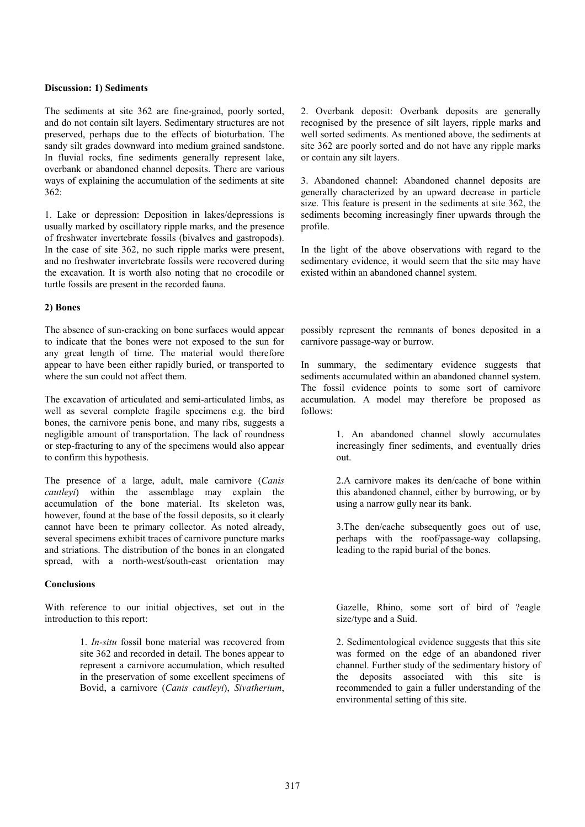## **Discussion: 1) Sediments**

The sediments at site 362 are fine-grained, poorly sorted, and do not contain silt layers. Sedimentary structures are not preserved, perhaps due to the effects of bioturbation. The sandy silt grades downward into medium grained sandstone. In fluvial rocks, fine sediments generally represent lake, overbank or abandoned channel deposits. There are various ways of explaining the accumulation of the sediments at site 362:

1. Lake or depression: Deposition in lakes/depressions is usually marked by oscillatory ripple marks, and the presence of freshwater invertebrate fossils (bivalves and gastropods). In the case of site 362, no such ripple marks were present, and no freshwater invertebrate fossils were recovered during the excavation. It is worth also noting that no crocodile or turtle fossils are present in the recorded fauna.

## **2) Bones**

The absence of sun-cracking on bone surfaces would appear to indicate that the bones were not exposed to the sun for any great length of time. The material would therefore appear to have been either rapidly buried, or transported to where the sun could not affect them.

The excavation of articulated and semi-articulated limbs, as well as several complete fragile specimens e.g. the bird bones, the carnivore penis bone, and many ribs, suggests a negligible amount of transportation. The lack of roundness or step-fracturing to any of the specimens would also appear to confirm this hypothesis.

The presence of a large, adult, male carnivore (*Canis cautleyi*) within the assemblage may explain the accumulation of the bone material. Its skeleton was, however, found at the base of the fossil deposits, so it clearly cannot have been te primary collector. As noted already, several specimens exhibit traces of carnivore puncture marks and striations. The distribution of the bones in an elongated spread, with a north-west/south-east orientation may

# **Conclusions**

With reference to our initial objectives, set out in the introduction to this report:

> 1. *In-situ* fossil bone material was recovered from site 362 and recorded in detail. The bones appear to represent a carnivore accumulation, which resulted in the preservation of some excellent specimens of Bovid, a carnivore (*Canis cautleyi*), *Sivatherium*,

2. Overbank deposit: Overbank deposits are generally recognised by the presence of silt layers, ripple marks and well sorted sediments. As mentioned above, the sediments at site 362 are poorly sorted and do not have any ripple marks or contain any silt layers.

3. Abandoned channel: Abandoned channel deposits are generally characterized by an upward decrease in particle size. This feature is present in the sediments at site 362, the sediments becoming increasingly finer upwards through the profile.

In the light of the above observations with regard to the sedimentary evidence, it would seem that the site may have existed within an abandoned channel system.

possibly represent the remnants of bones deposited in a carnivore passage-way or burrow.

In summary, the sedimentary evidence suggests that sediments accumulated within an abandoned channel system. The fossil evidence points to some sort of carnivore accumulation. A model may therefore be proposed as follows:

> 1. An abandoned channel slowly accumulates increasingly finer sediments, and eventually dries out.

> 2.A carnivore makes its den/cache of bone within this abandoned channel, either by burrowing, or by using a narrow gully near its bank.

> 3.The den/cache subsequently goes out of use, perhaps with the roof/passage-way collapsing, leading to the rapid burial of the bones.

> Gazelle, Rhino, some sort of bird of ?eagle size/type and a Suid.

> 2. Sedimentological evidence suggests that this site was formed on the edge of an abandoned river channel. Further study of the sedimentary history of the deposits associated with this site is recommended to gain a fuller understanding of the environmental setting of this site.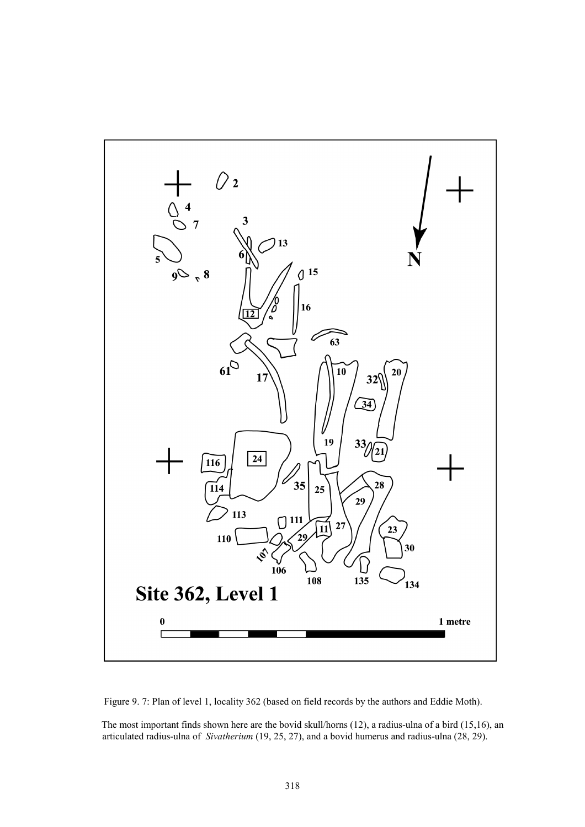

Figure 9. 7: Plan of level 1, locality 362 (based on field records by the authors and Eddie Moth).

 The most important finds shown here are the bovid skull/horns (12), a radius-ulna of a bird (15,16), an articulated radius-ulna of *Sivatherium* (19, 25, 27), and a bovid humerus and radius-ulna (28, 29).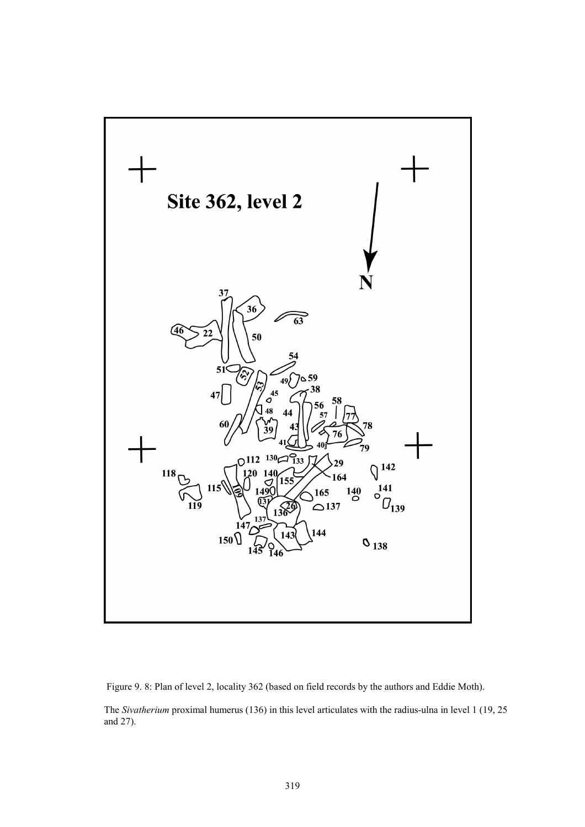

Figure 9. 8: Plan of level 2, locality 362 (based on field records by the authors and Eddie Moth).

 The *Sivatherium* proximal humerus (136) in this level articulates with the radius-ulna in level 1 (19, 25 and 27).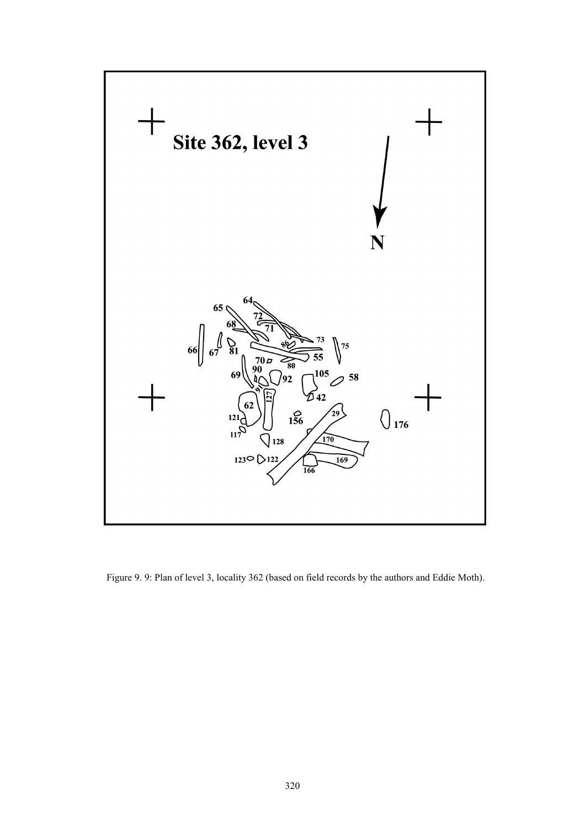

Figure 9. 9: Plan of level 3, locality 362 (based on field records by the authors and Eddie Moth).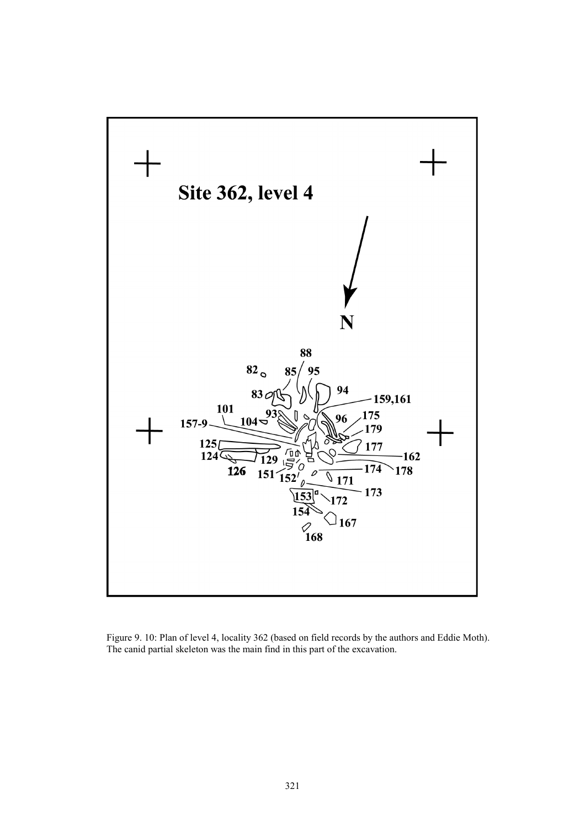

 Figure 9. 10: Plan of level 4, locality 362 (based on field records by the authors and Eddie Moth). The canid partial skeleton was the main find in this part of the excavation.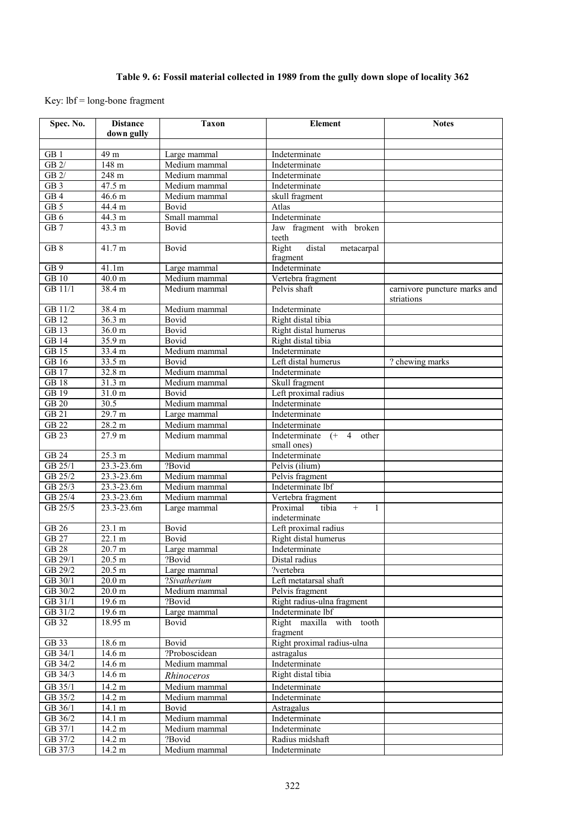# **Table 9. 6: Fossil material collected in 1989 from the gully down slope of locality 362**

Key: lbf = long-bone fragment

| Spec. No.            | <b>Distance</b>     | <b>Taxon</b>  | <b>Element</b>                                    | <b>Notes</b>                               |
|----------------------|---------------------|---------------|---------------------------------------------------|--------------------------------------------|
|                      | down gully          |               |                                                   |                                            |
|                      |                     |               |                                                   |                                            |
| GB <sub>1</sub>      | 49 m                | Large mammal  | Indeterminate                                     |                                            |
| GB2/                 | 148 <sub>m</sub>    | Medium mammal | Indeterminate                                     |                                            |
| GB2/                 | 248 m               | Medium mammal | Indeterminate                                     |                                            |
| GB3                  | 47.5 m              | Medium mammal | Indeterminate                                     |                                            |
| GB4                  | 46.6 m              | Medium mammal | skull fragment                                    |                                            |
| GB <sub>5</sub>      | 44.4 m              | Bovid         | Atlas                                             |                                            |
| GB <sub>6</sub>      | 44.3 m              | Small mammal  | Indeterminate                                     |                                            |
| GB <sub>7</sub>      | 43.3 m              | Bovid         | Jaw fragment with broken                          |                                            |
| GB 8                 | 41.7 <sub>m</sub>   |               | teeth<br>Right<br>distal                          |                                            |
|                      |                     | Bovid         | metacarpal<br>fragment                            |                                            |
| GB <sub>9</sub>      | 41.1m               | Large mammal  | Indeterminate                                     |                                            |
| <b>GB</b> 10         | 40.0 m              | Medium mammal | Vertebra fragment                                 |                                            |
| GB 11/1              | 38.4 m              | Medium mammal | Pelvis shaft                                      |                                            |
|                      |                     |               |                                                   | carnivore puncture marks and<br>striations |
| GB 11/2              | 38.4 m              | Medium mammal | Indeterminate                                     |                                            |
| GB12                 | 36.3 m              | Bovid         | Right distal tibia                                |                                            |
| GB13                 | 36.0 m              | Bovid         | Right distal humerus                              |                                            |
| <b>GB</b> 14         | 35.9 <sub>m</sub>   | Bovid         | Right distal tibia                                |                                            |
| GB15                 | 33.4 m              | Medium mammal | Indeterminate                                     |                                            |
| GB 16                | 33.5 m              | Bovid         | Left distal humerus                               | ? chewing marks                            |
| <b>GB17</b>          | 32.8 m              | Medium mammal | Indeterminate                                     |                                            |
| <b>GB 18</b>         | 31.3 m              | Medium mammal | Skull fragment                                    |                                            |
| GB 19                | 31.0 <sub>m</sub>   | Bovid         | Left proximal radius                              |                                            |
| <b>GB 20</b>         | 30.5                | Medium mammal | Indeterminate                                     |                                            |
| GB21                 | 29.7 m              | Large mammal  | Indeterminate                                     |                                            |
| <b>GB 22</b>         | 28.2 m              | Medium mammal | Indeterminate                                     |                                            |
| <b>GB 23</b>         | 27.9 <sub>m</sub>   | Medium mammal | Indeterminate<br>$\overline{4}$<br>$(+)$<br>other |                                            |
|                      |                     |               | small ones)                                       |                                            |
| <b>GB 24</b>         | 25.3 m              | Medium mammal | Indeterminate                                     |                                            |
| GB 25/1              | 23.3-23.6m          | ?Bovid        | Pelvis (ilium)                                    |                                            |
| GB 25/2              | 23.3-23.6m          | Medium mammal | Pelvis fragment                                   |                                            |
| GB 25/3              | 23.3-23.6m          | Medium mammal | Indeterminate lbf                                 |                                            |
| GB 25/4              | 23.3-23.6m          | Medium mammal | Vertebra fragment                                 |                                            |
| GB 25/5              | 23.3-23.6m          | Large mammal  | Proximal<br>tibia<br>$^{+}$<br>1                  |                                            |
|                      |                     |               | indeterminate                                     |                                            |
| GB 26                | 23.1 m              | <b>Bovid</b>  | Left proximal radius                              |                                            |
| <b>GB 27</b>         | 22.1 m              | Bovid         | Right distal humerus                              |                                            |
| <b>GB 28</b>         | 20.7 <sub>m</sub>   | Large mammal  | Indeterminate                                     |                                            |
| $\overline{GB}$ 29/1 | $20.5\;{\rm m}$     | Bovid!        | Distal radius                                     |                                            |
| GB 29/2              | $20.5 \text{ m}$    | Large mammal  | ?vertebra                                         |                                            |
| GB 30/1              | $20.0\ \mathrm{m}$  | ?Sivatherium  | Left metatarsal shaft                             |                                            |
| GB 30/2              | 20.0 <sub>m</sub>   | Medium mammal | Pelvis fragment                                   |                                            |
| GB 31/1              | $\overline{19.6}$ m | ?Bovid        | Right radius-ulna fragment                        |                                            |
| GB 31/2              | 19.6 m              | Large mammal  | Indeterminate lbf                                 |                                            |
| GB 32                | 18.95 m             | Bovid         | Right maxilla with tooth<br>fragment              |                                            |
| GB 33                | 18.6 m              | Bovid         | Right proximal radius-ulna                        |                                            |
| GB 34/1              | 14.6 m              | ?Proboscidean | astragalus                                        |                                            |
| GB 34/2              | 14.6 m              | Medium mammal | Indeterminate                                     |                                            |
| GB 34/3              | 14.6 m              | Rhinoceros    | Right distal tibia                                |                                            |
| GB 35/1              | 14.2 m              | Medium mammal | Indeterminate                                     |                                            |
| GB 35/2              | 14.2 m              | Medium mammal | Indeterminate                                     |                                            |
| GB 36/1              | 14.1 m              | Bovid         | Astragalus                                        |                                            |
| GB 36/2              | 14.1 m              | Medium mammal | Indeterminate                                     |                                            |
| GB 37/1              | 14.2 m              | Medium mammal | Indeterminate                                     |                                            |
| GB 37/2              | 14.2 m              | ?Bovid        | Radius midshaft                                   |                                            |
| GB 37/3              | 14.2 m              | Medium mammal | Indeterminate                                     |                                            |
|                      |                     |               |                                                   |                                            |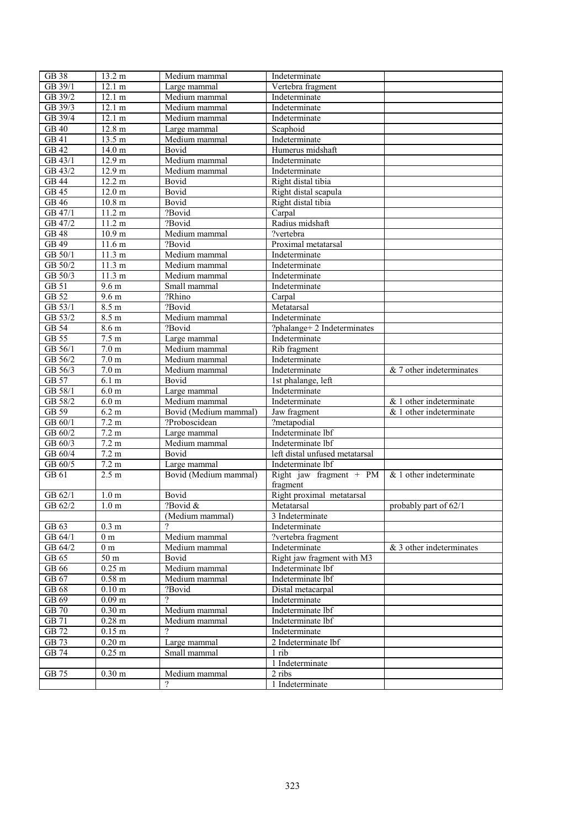| GB 38                 | 13.2 m             | Medium mammal         | Indeterminate                         |                            |
|-----------------------|--------------------|-----------------------|---------------------------------------|----------------------------|
| GB 39/1               | 12.1 m             | Large mammal          | Vertebra fragment                     |                            |
| GB 39/2               | $12.1 \text{ m}$   | Medium mammal         | Indeterminate                         |                            |
| GB 39/3               | 12.1 m             | Medium mammal         | Indeterminate                         |                            |
| GB 39/4               | 12.1 m             | Medium mammal         | Indeterminate                         |                            |
| <b>GB 40</b>          | 12.8 m             | Large mammal          | Scaphoid                              |                            |
| GB 41                 | 13.5 m             | Medium mammal         | Indeterminate                         |                            |
| GB 42                 | 14.0 m             | Bovid                 | Humerus midshaft                      |                            |
| GB 43/1               | 12.9 <sub>m</sub>  | Medium mammal         | Indeterminate                         |                            |
| GB 43/2               | 12.9 m             | Medium mammal         | Indeterminate                         |                            |
| GB 44                 | 12.2 m             | Bovid                 | Right distal tibia                    |                            |
| GB45                  | 12.0 <sub>m</sub>  | Bovid                 | Right distal scapula                  |                            |
| GB46                  | 10.8 <sub>m</sub>  | <b>Bovid</b>          | Right distal tibia                    |                            |
| GB 47/1               | 11.2 m             | ?Bovid                | Carpal                                |                            |
| GB 47/2               | 11.2 m             | ?Bovid                | Radius midshaft                       |                            |
| GB 48                 | 10.9 <sub>m</sub>  | Medium mammal         | ?vertebra                             |                            |
| GB 49                 | 11.6 <sub>m</sub>  | ?Bovid                | Proximal metatarsal                   |                            |
| GB 50/1               | 11.3 m             | Medium mammal         | Indeterminate                         |                            |
| GB 50/2               | 11.3 m             | Medium mammal         | Indeterminate                         |                            |
| GB 50/3               | 11.3 m             | Medium mammal         | Indeterminate                         |                            |
| GB 51                 | 9.6 <sub>m</sub>   | Small mammal          | Indeterminate                         |                            |
| $\overline{GB}$ 52    | 9.6 m              | ?Rhino                | Carpal                                |                            |
| GB 53/1               | 8.5 m              | ?Bovid                | Metatarsal                            |                            |
| GB 53/2               | 8.5 m              | Medium mammal         | Indeterminate                         |                            |
| GB 54                 | 8.6 <sub>m</sub>   | ?Bovid                | ?phalange+2 Indeterminates            |                            |
| GB 55                 | 7.5 <sub>m</sub>   | Large mammal          | Indeterminate                         |                            |
| $\overline{GB\,56}/1$ | 7.0 <sub>m</sub>   | Medium mammal         | Rib fragment                          |                            |
| GB 56/2               | 7.0 <sub>m</sub>   | Medium mammal         | Indeterminate                         |                            |
| GB 56/3               | 7.0 <sub>m</sub>   | Medium mammal         | Indeterminate                         | $& 7$ other indeterminates |
| GB 57                 | 6.1 m              | Bovid                 | 1st phalange, left                    |                            |
| GB 58/1               | 6.0 <sub>m</sub>   | Large mammal          | Indeterminate                         |                            |
| GB 58/2               | 6.0 <sub>m</sub>   | Medium mammal         | Indeterminate                         | $&$ 1 other indeterminate  |
| GB 59                 | $6.2 \text{ m}$    | Bovid (Medium mammal) | Jaw fragment                          | $&$ 1 other indeterminate  |
| GB 60/1               | $7.2 \text{ m}$    | ?Proboscidean         | ?metapodial                           |                            |
| GB 60/2               | 7.2 m              | Large mammal          | Indeterminate lbf                     |                            |
| GB 60/3               | $7.2 \text{ m}$    | Medium mammal         | Indeterminate lbf                     |                            |
|                       | $7.2 \text{ m}$    | Bovid                 | left distal unfused metatarsal        |                            |
| GB 60/4<br>GB 60/5    | $7.2 \text{ m}$    |                       | Indeterminate lbf                     |                            |
|                       |                    | Large mammal          |                                       |                            |
| GB 61                 | 2.5 m              | Bovid (Medium mammal) | Right jaw fragment + PM               | $&$ 1 other indeterminate  |
|                       | 1.0 <sub>m</sub>   |                       | fragment<br>Right proximal metatarsal |                            |
| GB 62/1               | 1.0 <sub>m</sub>   | Bovid<br>?Bovid &     | Metatarsal                            |                            |
| GB 62/2               |                    |                       |                                       | probably part of 62/1      |
|                       |                    | (Medium mammal)<br>2  | 3 Indeterminate                       |                            |
| GB 63                 | 0.3 <sub>m</sub>   |                       | Indeterminate                         |                            |
| GB 64/1               | 0 <sub>m</sub>     | Medium mammal         | ?vertebra fragment                    |                            |
| GB 64/2               | 0 <sub>m</sub>     | Medium mammal         | Indeterminate                         | $&$ 3 other indeterminates |
| GB 65                 | $\overline{50}$ m  | Bovid                 | Right jaw fragment with M3            |                            |
| GB 66                 | $0.25$ m           | Medium mammal         | Indeterminate lbf                     |                            |
| GB 67                 | $0.58 \text{ m}$   | Medium mammal         | Indeterminate lbf                     |                            |
| GB 68                 | $0.10 \text{ m}$   | ?Bovid                | Distal metacarpal                     |                            |
| GB 69                 | $0.09\;\mathrm{m}$ | $\gamma$              | Indeterminate                         |                            |
| GB 70                 | 0.30 <sub>m</sub>  | Medium mammal         | Indeterminate lbf                     |                            |
| GB 71                 | $0.28$ m           | Medium mammal         | Indeterminate lbf                     |                            |
| GB 72                 | $0.15 \text{ m}$   | $\gamma$              | Indeterminate                         |                            |
| GB 73                 | 0.20 <sub>m</sub>  | Large mammal          | 2 Indeterminate lbf                   |                            |
| GB 74                 | $0.25$ m           | Small mammal          | 1 rib                                 |                            |
|                       |                    |                       | 1 Indeterminate                       |                            |
| GB 75                 | $0.30\;\mathrm{m}$ | Medium mammal         | $\overline{2}$ ribs                   |                            |
|                       |                    | $\gamma$              | 1 Indeterminate                       |                            |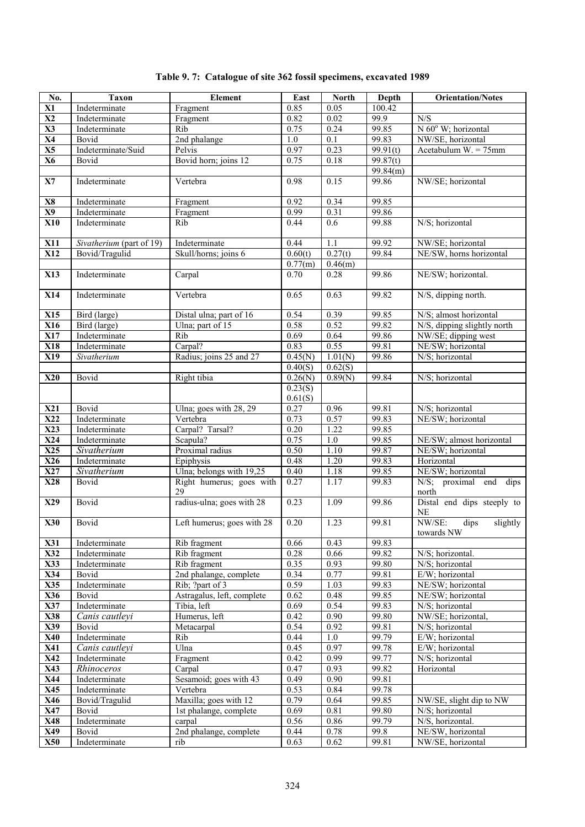| No.                      | <b>Taxon</b>             | Element                    | East               | <b>North</b> | Depth                 | <b>Orientation/Notes</b>    |
|--------------------------|--------------------------|----------------------------|--------------------|--------------|-----------------------|-----------------------------|
| $\overline{X1}$          | Indeterminate            | Fragment                   | 0.85               | 0.05         | 100.42                |                             |
| $\overline{\mathbf{X2}}$ | Indeterminate            | Fragment                   | 0.82               | 0.02         | 99.9                  | N/S                         |
| $\overline{\text{X3}}$   | Indeterminate            | Rib                        | 0.75               | 0.24         | $\frac{99.85}{99.85}$ | N 60° W; horizontal         |
| X <sub>4</sub>           | Bovid                    | 2nd phalange               | 1.0                | 0.1          | 99.83                 | NW/SE, horizontal           |
| X5                       | Indeterminate/Suid       | Pelvis                     | 0.97               | 0.23         | 99.91(t)              | Acetabulum W. = $75$ mm     |
| X6                       | Bovid                    | Bovid horn; joins 12       | 0.75               | 0.18         | 99.87(t)              |                             |
|                          |                          |                            |                    |              | 99.84(m)              |                             |
| X7                       | Indeterminate            | Vertebra                   | 0.98               | 0.15         | 99.86                 | NW/SE; horizontal           |
|                          |                          |                            |                    |              |                       |                             |
| X8                       | Indeterminate            | Fragment                   | 0.92               | 0.34         | 99.85                 |                             |
| X9                       | Indeterminate            | Fragment                   | 0.99               | 0.31         | 99.86                 |                             |
| X10                      | Indeterminate            | Rib                        | 0.44               | 0.6          | 99.88                 | N/S; horizontal             |
|                          |                          |                            |                    |              |                       |                             |
| $\overline{X11}$         | Sivatherium (part of 19) | Indeterminate              | 0.44               | 1.1          | 99.92                 | NW/SE; horizontal           |
| X12                      | Bovid/Tragulid           | Skull/horns; joins 6       | 0.60(t)            | 0.27(t)      | 99.84                 | NE/SW, horns horizontal     |
|                          |                          |                            | 0.77(m)            | 0.46(m)      |                       |                             |
| X13                      | Indeterminate            | Carpal                     | 0.70               | 0.28         | 99.86                 | NE/SW; horizontal.          |
|                          |                          |                            |                    |              |                       |                             |
| X14                      | Indeterminate            | Vertebra                   | 0.65               | 0.63         | 99.82                 | N/S, dipping north.         |
|                          |                          |                            |                    |              |                       |                             |
| X15                      | Bird (large)             | Distal ulna; part of 16    | 0.54               | 0.39         | 99.85                 | N/S; almost horizontal      |
| X16                      | Bird (large)             | Ulna; part of 15           | 0.58               | 0.52         | 99.82                 | N/S, dipping slightly north |
| X17                      | Indeterminate            | Rib                        | 0.69               | 0.64         | 99.86                 | NW/SE; dipping west         |
| <b>X18</b>               | Indeterminate            | Carpal?                    | 0.83               | 0.55         | 99.81                 | NE/SW; horizontal           |
| X19                      | Sivatherium              | Radius; joins 25 and 27    | 0.45(N)            | 1.01(N)      | 99.86                 | N/S; horizontal             |
|                          |                          |                            | 0.40(S)            | 0.62(S)      |                       |                             |
| $\overline{\text{X20}}$  | Bovid                    | Right tibia                | 0.26(N)<br>0.23(S) | 0.89(N)      | 99.84                 | N/S; horizontal             |
|                          |                          |                            |                    |              |                       |                             |
| $\overline{X21}$         | Bovid                    | Ulna; goes with 28, 29     | 0.61(S)<br>0.27    | 0.96         | 99.81                 | N/S; horizontal             |
| X22                      | Indeterminate            | Vertebra                   | 0.73               | 0.57         | 99.83                 | NE/SW; horizontal           |
| X23                      | Indeterminate            | Carpal? Tarsal?            | 0.20               | 1.22         | 99.85                 |                             |
| X24                      | Indeterminate            | Scapula?                   | 0.75               | $1.0\,$      | 99.85                 | NE/SW; almost horizontal    |
| X25                      | Sivatherium              | Proximal radius            | 0.50               | 1.10         | 99.87                 | NE/SW; horizontal           |
| $\overline{X26}$         | Indeterminate            | Epiphysis                  | 0.48               | 1.20         | 99.83                 | Horizontal                  |
| X27                      | Sivatherium              | Ulna; belongs with 19,25   | 0.40               | 1.18         | 99.85                 | NE/SW; horizontal           |
| X28                      | Bovid                    | Right humerus; goes with   | 0.27               | 1.17         | 99.83                 | N/S; proximal end dips      |
|                          |                          | 29                         |                    |              |                       | north                       |
| X29                      | Bovid                    | radius-ulna; goes with 28  | 0.23               | 1.09         | 99.86                 | Distal end dips steeply to  |
|                          |                          |                            |                    |              |                       | <b>NE</b>                   |
| <b>X30</b>               | Bovid                    | Left humerus; goes with 28 | $0.20\,$           | 1.23         | 99.81                 | NW/SE:<br>dips<br>slightly  |
|                          |                          |                            |                    |              |                       | towards NW                  |
| <b>X31</b>               | Indeterminate            | Rib fragment               | 0.66               | 0.43         | 99.83                 |                             |
| $\overline{X32}$         | Indeterminate            | Rib fragment               | 0.28               | 0.66         | $\frac{1}{99.82}$     | N/S; horizontal.            |
| X33                      | Indeterminate            | Rib fragment               | 0.35               | 0.93         | 99.80                 | N/S; horizontal             |
| X34                      | Bovid                    | 2nd phalange, complete     | 0.34               | 0.77         | 99.81                 | E/W; horizontal             |
| X35                      | Indeterminate            | Rib; ?part of 3            | 0.59               | 1.03         | 99.83                 | NE/SW; horizontal           |
| X36                      | <b>Bovid</b>             | Astragalus, left, complete | 0.62               | 0.48         | 99.85                 | NE/SW; horizontal           |
| X37                      | Indeterminate            | Tibia, left                | 0.69               | 0.54         | 99.83                 | N/S; horizontal             |
| X38                      | Canis cautleyi           | Humerus, left              | 0.42               | 0.90         | 99.80                 | NW/SE; horizontal.          |
| X39                      | Bovid                    | Metacarpal                 | 0.54               | 0.92         | 99.81                 | N/S; horizontal             |
| $\overline{X40}$         | Indeterminate            | Rib                        | 0.44               | 1.0          | 99.79                 | E/W; horizontal             |
| <b>X41</b>               | Canis cautlevi           | Ulna                       | 0.45               | 0.97         | 99.78                 | E/W; horizontal             |
| X42                      | Indeterminate            | Fragment                   | 0.42               | 0.99         | 99.77                 | N/S; horizontal             |
| X43                      | Rhinoceros               | Carpal                     | 0.47               | 0.93         | 99.82                 | Horizontal                  |
| X44                      | Indeterminate            | Sesamoid; goes with 43     | 0.49               | 0.90         | 99.81                 |                             |
| X45                      | Indeterminate            | Vertebra                   | 0.53               | 0.84         | $\overline{99.78}$    |                             |
| X46                      | Bovid/Tragulid           | Maxilla; goes with 12      | 0.79               | 0.64         | 99.85                 | NW/SE, slight dip to NW     |
| X47                      | Bovid                    | 1st phalange, complete     | 0.69               | 0.81         | 99.80                 | N/S; horizontal             |
| X48                      | Indeterminate            | carpal                     | 0.56               | 0.86         | 99.79                 | N/S, horizontal.            |
| X49                      | Bovid                    | 2nd phalange, complete     | 0.44               | 0.78         | 99.8                  | NE/SW, horizontal           |
| <b>X50</b>               | Indeterminate            | rib                        | 0.63               | 0.62         | 99.81                 | NW/SE, horizontal           |

# **Table 9. 7: Catalogue of site 362 fossil specimens, excavated 1989**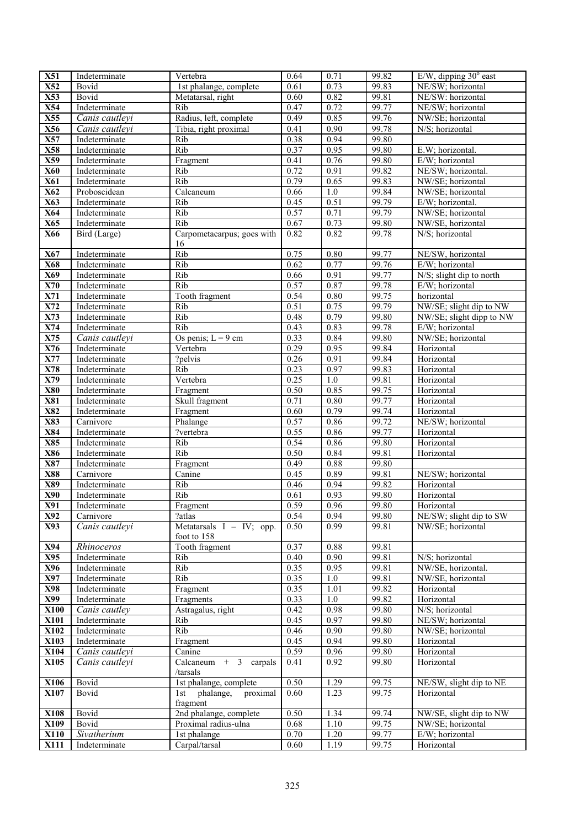| <b>X51</b>         | Indeterminate                   | Vertebra                     | 0.64              | 0.71              | 99.82                 | $E/W$ , dipping 30 $^{\circ}$ east            |
|--------------------|---------------------------------|------------------------------|-------------------|-------------------|-----------------------|-----------------------------------------------|
| X52                | Bovid                           | 1st phalange, complete       | 0.61              | 0.73              | 99.83                 | NE/SW; horizontal                             |
| X53                | Bovid                           | Metatarsal, right            | $\overline{0.60}$ | 0.82              | 99.81                 | NE/SW: horizontal                             |
| <b>X54</b>         | Indeterminate                   | Rib                          | 0.47              | 0.72              | 99.77                 | NE/SW; horizontal                             |
| X55                | Canis cautleyi                  | Radius, left, complete       | 0.49              | 0.85              | 99.76                 | NW/SE; horizontal                             |
| X56                | Canis cautleyi                  | Tibia, right proximal        | 0.41              | $\overline{0.90}$ | 99.78                 | N/S; horizontal                               |
| X57                | Indeterminate                   | Rib                          | 0.38              | 0.94              | 99.80                 |                                               |
| X58                | Indeterminate                   | Rib                          | 0.37              | 0.95              | 99.80                 | E.W; horizontal.                              |
| X59                | Indeterminate                   | Fragment                     | 0.41              | 0.76              | 99.80                 | E/W; horizontal                               |
| <b>X60</b>         | Indeterminate                   | Rib                          | 0.72              | 0.91              | 99.82                 | NE/SW; horizontal.                            |
| X61                | Indeterminate                   | Rib                          | 0.79              | 0.65              | 99.83                 | NW/SE; horizontal                             |
| X62                | Proboscidean                    | Calcaneum                    | 0.66              | $1.0\,$           | 99.84                 | NW/SE; horizontal                             |
| X63                | Indeterminate                   | Rib                          | 0.45              | 0.51              | 99.79                 | E/W; horizontal.                              |
| X64                | Indeterminate                   | Rib                          | 0.57              | 0.71              | 99.79                 | NW/SE; horizontal                             |
| X65                | Indeterminate                   | Rib                          | 0.67              | 0.73              | 99.80                 | NW/SE, horizontal                             |
| X66                | Bird (Large)                    | Carpometacarpus; goes with   | 0.82              | 0.82              | 99.78                 | N/S; horizontal                               |
|                    |                                 | 16                           |                   |                   |                       |                                               |
| X67                | Indeterminate                   | Rib                          | 0.75              | $0.80\,$          | 99.77                 | NE/SW, horizontal                             |
| <b>X68</b>         | Indeterminate                   | Rib                          | 0.62              | 0.77              | 99.76                 | E/W; horizontal                               |
| X69                | Indeterminate                   | Rib                          | 0.66              | 0.91              | 99.77                 | $\overline{\text{N/S}}$ ; slight dip to north |
| $\overline{X70}$   | Indeterminate                   | Rib                          | 0.57              | 0.87              | 99.78                 | E/W; horizontal                               |
| X71                | Indeterminate                   | Tooth fragment               | 0.54              | $0.80\,$          | 99.75                 | horizontal                                    |
| X72                | Indeterminate                   | Rib                          | 0.51              | 0.75              | 99.79                 | NW/SE; slight dip to NW                       |
| X73                | Indeterminate                   | Rib                          | 0.48              | 0.79              | 99.80                 | NW/SE; slight dipp to NW                      |
| X74                | Indeterminate                   | Rib                          | 0.43              | 0.83              | 99.78                 | E/W; horizontal                               |
| X75                | Canis cautleyi                  | Os penis; $L = 9$ cm         | 0.33              | 0.84              | 99.80                 | NW/SE; horizontal                             |
| X76                | Indeterminate                   | Vertebra                     | 0.29              | 0.95              | 99.84                 | Horizontal                                    |
| X77                | Indeterminate                   | $\overline{?}$ pelvis        | 0.26              | 0.91              | 99.84                 | Horizontal                                    |
| X78                | Indeterminate                   | Rib                          | 0.23              | 0.97              | 99.83                 | Horizontal                                    |
| X79                | Indeterminate                   | Vertebra                     | 0.25              | $1.0\,$           | 99.81                 | Horizontal                                    |
| <b>X80</b>         | Indeterminate                   | Fragment                     | 0.50              | 0.85              | $\frac{99.75}{99.75}$ | Horizontal                                    |
| <b>X81</b>         | Indeterminate                   | Skull fragment               | 0.71              | $0.80\,$          | 99.77                 | Horizontal                                    |
| X82                | Indeterminate                   | Fragment                     | 0.60              | 0.79              | 99.74                 | Horizontal                                    |
| X83                | Carnivore                       | Phalange                     | 0.57              | 0.86              | 99.72                 | NE/SW; horizontal                             |
| <b>X84</b>         | Indeterminate                   | $?$ vertebra                 | 0.55              | 0.86              | 99.77                 | Horizontal                                    |
| X85                | Indeterminate                   | Rib                          | 0.54              | 0.86              | 99.80                 | Horizontal                                    |
| <b>X86</b>         | Indeterminate                   | Rib                          | 0.50              | 0.84              | 99.81                 | Horizontal                                    |
| X87                | Indeterminate                   | Fragment                     | 0.49              | 0.88              | 99.80                 |                                               |
| <b>X88</b>         | Carnivore                       | Canine                       | 0.45              | 0.89              | 99.81                 | NE/SW; horizontal                             |
| X89                | Indeterminate                   | Rib                          | 0.46              | 0.94              | 99.82                 | Horizontal                                    |
| <b>X90</b>         | Indeterminate                   | Rib                          | 0.61              | 0.93              | 99.80                 | Horizontal                                    |
| X91                | Indeterminate                   | Fragment                     | 0.59              | 0.96              | 99.80                 | Horizontal                                    |
| X92                | Carnivore                       | ?atlas                       | 0.54              | 0.94              | 99.80                 | NE/SW; slight dip to SW                       |
| X93                | Canis cautleyi                  | Metatarsals $I - IV$ ; opp.  | 0.50              | 0.99              | 99.81                 | NW/SE; horizontal                             |
|                    |                                 | foot to 158                  |                   |                   |                       |                                               |
| X94                | Rhinoceros                      | Tooth fragment               | 0.37              | 0.88              | 99.81<br>99.81        |                                               |
| X95                | Indeterminate                   | Rib                          | 0.40              | $\overline{0.90}$ |                       | N/S; horizontal                               |
| X96                | Indeterminate                   | Rib                          | 0.35              | 0.95              | 99.81                 | NW/SE, horizontal.                            |
| X97                | Indeterminate                   | Rib                          | 0.35              | 1.0               | 99.81                 | NW/SE, horizontal                             |
| X98                | Indeterminate                   | Fragment                     | 0.35<br>0.33      | 1.01              | 99.82<br>99.82        | Horizontal                                    |
| X99<br><b>X100</b> | Indeterminate<br>Canis cautley  | Fragments                    | 0.42              | 1.0<br>0.98       | 99.80                 | Horizontal<br>N/S; horizontal                 |
| X101               | Indeterminate                   | Astragalus, right<br>Rib     | 0.45              | 0.97              | 99.80                 | NE/SW; horizontal                             |
| X102               | Indeterminate                   | Rib                          | 0.46              | 0.90              | 99.80                 | NW/SE; horizontal                             |
| X103               |                                 |                              | 0.45              | 0.94              | 99.80                 | Horizontal                                    |
| X104               | Indeterminate<br>Canis cautleyi | Fragment                     | 0.59              | 0.96              | 99.80                 | Horizontal                                    |
| X105               | Canis cautleyi                  | Canine<br>Calcaneum $+$ 3    | 0.41              | 0.92              | 99.80                 | Horizontal                                    |
|                    |                                 | carpals<br>/tarsals          |                   |                   |                       |                                               |
| X106               | Bovid                           | 1st phalange, complete       | 0.50              | 1.29              | 99.75                 | NE/SW, slight dip to NE                       |
| X107               | Bovid                           | 1st<br>phalange,<br>proximal | 0.60              | 1.23              | 99.75                 | Horizontal                                    |
|                    |                                 | fragment                     |                   |                   |                       |                                               |
| X108               | Bovid                           | 2nd phalange, complete       | 0.50              | 1.34              | 99.74                 | NW/SE, slight dip to NW                       |
| X109               | Bovid                           | Proximal radius-ulna         | 0.68              | 1.10              | 99.75                 | NW/SE; horizontal                             |
| X110               | Sivatherium                     | 1st phalange                 | 0.70              | 1.20              | 99.77                 | E/W; horizontal                               |
| X111               | Indeterminate                   | Carpal/tarsal                | 0.60              | 1.19              | 99.75                 | Horizontal                                    |
|                    |                                 |                              |                   |                   |                       |                                               |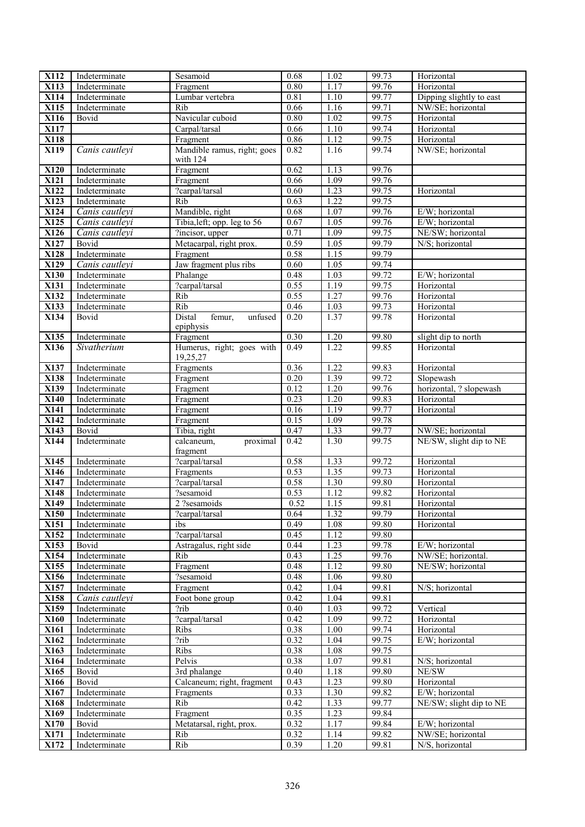| X112        | Indeterminate  | Sesamoid                                | 0.68              | 1.02              | 99.73              | Horizontal               |
|-------------|----------------|-----------------------------------------|-------------------|-------------------|--------------------|--------------------------|
| X113        | Indeterminate  | Fragment                                | $\overline{0.80}$ | 1.17              | 99.76              | Horizontal               |
| X114        | Indeterminate  | Lumbar vertebra                         | 0.81              | 1.10              | 99.77              | Dipping slightly to east |
| X115        | Indeterminate  | Rib                                     | 0.66              | 1.16              | 99.71              | NW/SE; horizontal        |
| X116        | Bovid          | Navicular cuboid                        | 0.80              | 1.02              | 99.75              | Horizontal               |
| X117        |                | Carpal/tarsal                           | 0.66              | 1.10              | 99.74              | Horizontal               |
| X118        |                | Fragment                                | 0.86              | 1.12              | 99.75              | Horizontal               |
| X119        | Canis cautleyi | Mandible ramus, right; goes<br>with 124 | 0.82              | 1.16              | 99.74              | NW/SE; horizontal        |
| X120        | Indeterminate  | Fragment                                | 0.62              | 1.13              | 99.76              |                          |
| X121        | Indeterminate  | Fragment                                | 0.66              | 1.09              | 99.76              |                          |
| X122        | Indeterminate  | ?carpal/tarsal                          | 0.60              | 1.23              | 99.75              | Horizontal               |
| X123        | Indeterminate  | Rib                                     | 0.63              | 1.22              | 99.75              |                          |
| X124        | Canis cautleyi | Mandible, right                         | 0.68              | 1.07              | 99.76              | E/W; horizontal          |
| X125        | Canis cautleyi | Tibia, left; opp. leg to 56             | 0.67              | 1.05              | 99.76              | E/W; horizontal          |
| X126        | Canis cautleyi | ?incisor, upper                         | 0.71              | 1.09              | 99.75              | NE/SW; horizontal        |
| X127        | Bovid          | Metacarpal, right prox.                 | 0.59              | 1.05              | 99.79              | N/S; horizontal          |
| X128        | Indeterminate  | Fragment                                | 0.58              | 1.15              | 99.79              |                          |
| X129        | Canis cautleyi | Jaw fragment plus ribs                  | 0.60              | $\overline{1.05}$ | 99.74              |                          |
| X130        | Indeterminate  | Phalange                                | 0.48              | 1.03              | 99.72              | E/W; horizontal          |
| X131        | Indeterminate  | ?carpal/tarsal                          | 0.55              | 1.19              | 99.75              | Horizontal               |
| X132        | Indeterminate  | Rib                                     | 0.55              | 1.27              | 99.76              | Horizontal               |
| X133        | Indeterminate  | Rib                                     | 0.46              | 1.03              | 99.73              | Horizontal               |
| X134        | Bovid          | femur,<br><b>Distal</b><br>unfused      | 0.20              | 1.37              | 99.78              | Horizontal               |
|             |                | epiphysis                               |                   |                   |                    |                          |
| X135        | Indeterminate  | Fragment                                | 0.30              | $1.20\,$          | 99.80              | slight dip to north      |
| X136        | Sivatherium    | Humerus, right; goes with               | 0.49              | 1.22              | 99.85              | Horizontal               |
|             |                | 19,25,27                                |                   |                   |                    |                          |
| X137        | Indeterminate  | Fragments                               | 0.36              | 1.22              | 99.83              | Horizontal               |
| X138        | Indeterminate  | Fragment                                | 0.20              | 1.39              | 99.72              | Slopewash                |
| X139        | Indeterminate  | Fragment                                | 0.12              | 1.20              | 99.76              | horizontal, ? slopewash  |
| X140        | Indeterminate  | Fragment                                | 0.23              | 1.20              | 99.83              | Horizontal               |
| X141        | Indeterminate  | Fragment                                | 0.16              | 1.19              | 99.77              | Horizontal               |
| X142        | Indeterminate  | Fragment                                | 0.15              | 1.09              | 99.78              |                          |
| X143        | Bovid          | Tibia, right                            | 0.47              | 1.33              | 99.77              | NW/SE; horizontal        |
| X144        | Indeterminate  | calcaneum,<br>proximal<br>fragment      | 0.42              | 1.30              | 99.75              | NE/SW, slight dip to NE  |
| X145        | Indeterminate  | ?carpal/tarsal                          | 0.58              | 1.33              | 99.72              | Horizontal               |
| X146        | Indeterminate  | Fragments                               | 0.53              | 1.35              | 99.73              | Horizontal               |
| X147        | Indeterminate  | ?carpal/tarsal                          | 0.58              | 1.30              | 99.80              | Horizontal               |
| X148        | Indeterminate  | ?sesamoid                               | 0.53              | 1.12              | 99.82              | Horizontal               |
| X149        | Indeterminate  | 2 ?sesamoids                            | 0.52              | 1.15              | 99.81              | Horizontal               |
| X150        | Indeterminate  | ?carpal/tarsal                          | 0.64              | 1.32              | 99.79              | Horizontal               |
| X151        | Indeterminate  | ibs                                     | 0.49              | 1.08              | 99.80              | Horizontal               |
| X152        | Indeterminate  | ?carpal/tarsal                          | 0.45              | 1.12              | 99.80              |                          |
| X153        | Bovid          | Astragalus, right side                  | 0.44              | 1.23              | 99.78              | E/W; horizontal          |
| X154        | Indeterminate  | Rib                                     | 0.43              | 1.25              | 99.76              | NW/SE; horizontal.       |
| X155        | Indeterminate  | Fragment                                | 0.48              | 1.12              | 99.80              | NE/SW; horizontal        |
| X156        | Indeterminate  | ?sesamoid                               | 0.48              | 1.06              | 99.80              |                          |
| X157        | Indeterminate  | Fragment                                | 0.42              | 1.04              | 99.81              | N/S; horizontal          |
| X158        | Canis cautleyi | Foot bone group                         | 0.42              | 1.04              | 99.81              |                          |
| X159        | Indeterminate  | ?rib                                    | 0.40              | 1.03              | 99.72              | Vertical                 |
| X160        | Indeterminate  | ?carpal/tarsal                          | 0.42              | 1.09              | 99.72              | Horizontal               |
| X161        | Indeterminate  | Ribs                                    | 0.38              | 1.00              | 99.74              | Horizontal               |
| X162        | Indeterminate  | ?rib                                    | 0.32              | 1.04              | 99.75              | E/W; horizontal          |
| X163        | Indeterminate  | Ribs                                    | 0.38              | 1.08              | $\overline{99.75}$ |                          |
| X164        | Indeterminate  | Pelvis                                  | 0.38              | 1.07              | 99.81              | N/S; horizontal          |
| X165        | Bovid          | 3rd phalange                            | 0.40              | 1.18              | 99.80              | ${\rm NE} / {\rm SW}$    |
| X166        | Bovid          | Calcaneum; right, fragment              | 0.43              | 1.23              | 99.80              | Horizontal               |
| X167        | Indeterminate  | Fragments                               | 0.33              | 1.30              | 99.82              | E/W; horizontal          |
| X168        | Indeterminate  | Rib                                     | 0.42              | 1.33              | 99.77              | NE/SW; slight dip to NE  |
| X169        | Indeterminate  | Fragment                                | 0.35              | 1.23              | 99.84              |                          |
| <b>X170</b> | Bovid          | Metatarsal, right, prox.                | 0.32              | 1.17              | 99.84              | E/W; horizontal          |
| X171        | Indeterminate  | Rib                                     | 0.32              | 1.14              | 99.82              | NW/SE; horizontal        |
| X172        | Indeterminate  | Rib                                     | 0.39              | 1.20              | 99.81              | N/S, horizontal          |